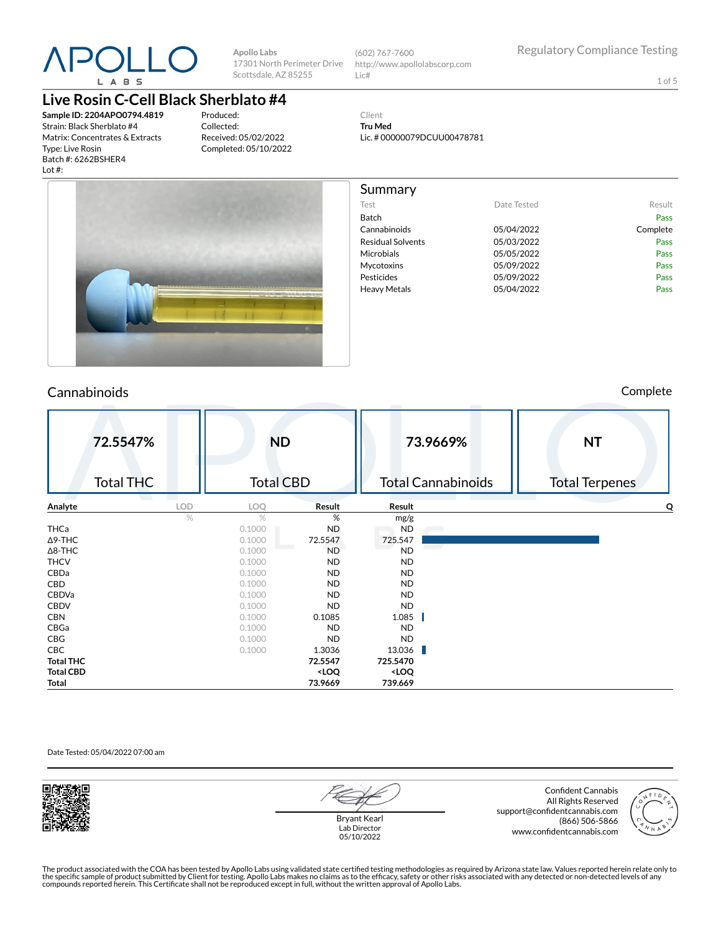

**Apollo Labs** 17301 North Perimeter Drive Scottsdale, AZ 85255

(602) 767-7600 http://www.apollolabscorp.com Lic#

Lic. # 00000079DCUU00478781

Test **Date Tested** Result Batch Pass Cannabinoids 05/04/2022 Complete Residual Solvents **COMPUS** 05/03/2022 Microbials **05/05/2022** Pass Mycotoxins 05/09/2022 Pass Pesticides **Pesticides Pass** Heavy Metals **DES/04/2022** Pass

Client **Tru Med**

Summary

1 of 5

## **Live Rosin C-Cell Black Sherblato #4**

**Sample ID: 2204APO0794.4819** Strain: Black Sherblato #4 Matrix: Concentrates & Extracts Type: Live Rosin Batch #: 6262BSHER4 Lot #:

Produced: Collected: Received: 05/02/2022 Completed: 05/10/2022



### Cannabinoids Complete

|                  | 72.5547%<br><b>Total THC</b> |            | <b>ND</b><br><b>Total CBD</b> |                                                                   |                                       | 73.9669%<br><b>Total Cannabinoids</b> | <b>NT</b><br><b>Total Terpenes</b> |
|------------------|------------------------------|------------|-------------------------------|-------------------------------------------------------------------|---------------------------------------|---------------------------------------|------------------------------------|
| Analyte          |                              | <b>LOD</b> | LOQ                           | Result                                                            | Result                                |                                       | O                                  |
|                  |                              | %          | $\%$                          | %                                                                 | mg/g                                  |                                       |                                    |
| THCa             |                              |            | 0.1000                        | ND                                                                | <b>ND</b>                             |                                       |                                    |
| $\Delta$ 9-THC   |                              |            | 0.1000                        | 72.5547                                                           | 725.547                               |                                       |                                    |
| $\Delta$ 8-THC   |                              |            | 0.1000                        | <b>ND</b>                                                         | <b>ND</b>                             |                                       |                                    |
| <b>THCV</b>      |                              |            | 0.1000                        | <b>ND</b>                                                         | <b>ND</b>                             |                                       |                                    |
| CBDa             |                              |            | 0.1000                        | ND                                                                | <b>ND</b>                             |                                       |                                    |
| CBD              |                              |            | 0.1000                        | ND                                                                | <b>ND</b>                             |                                       |                                    |
| CBDVa            |                              |            | 0.1000                        | ND                                                                | <b>ND</b>                             |                                       |                                    |
| <b>CBDV</b>      |                              |            | 0.1000                        | ND                                                                | <b>ND</b>                             |                                       |                                    |
| <b>CBN</b>       |                              |            | 0.1000                        | 0.1085                                                            | 1.085                                 |                                       |                                    |
| CBGa             |                              |            | 0.1000                        | <b>ND</b>                                                         | <b>ND</b>                             |                                       |                                    |
| CBG              |                              |            | 0.1000                        | <b>ND</b>                                                         | <b>ND</b>                             |                                       |                                    |
| CBC              |                              |            | 0.1000                        | 1.3036                                                            | 13.036                                | г                                     |                                    |
| <b>Total THC</b> |                              |            |                               | 72.5547                                                           | 725.5470                              |                                       |                                    |
| <b>Total CBD</b> |                              |            |                               | <loq< th=""><th><loq< th=""><th></th><th></th></loq<></th></loq<> | <loq< th=""><th></th><th></th></loq<> |                                       |                                    |
| Total            |                              |            |                               | 73.9669                                                           | 739.669                               |                                       |                                    |

#### Date Tested: 05/04/2022 07:00 am



Bryant Kearl Lab Director 05/10/2022

Confident Cannabis All Rights Reserved support@confidentcannabis.com (866) 506-5866 www.confidentcannabis.com

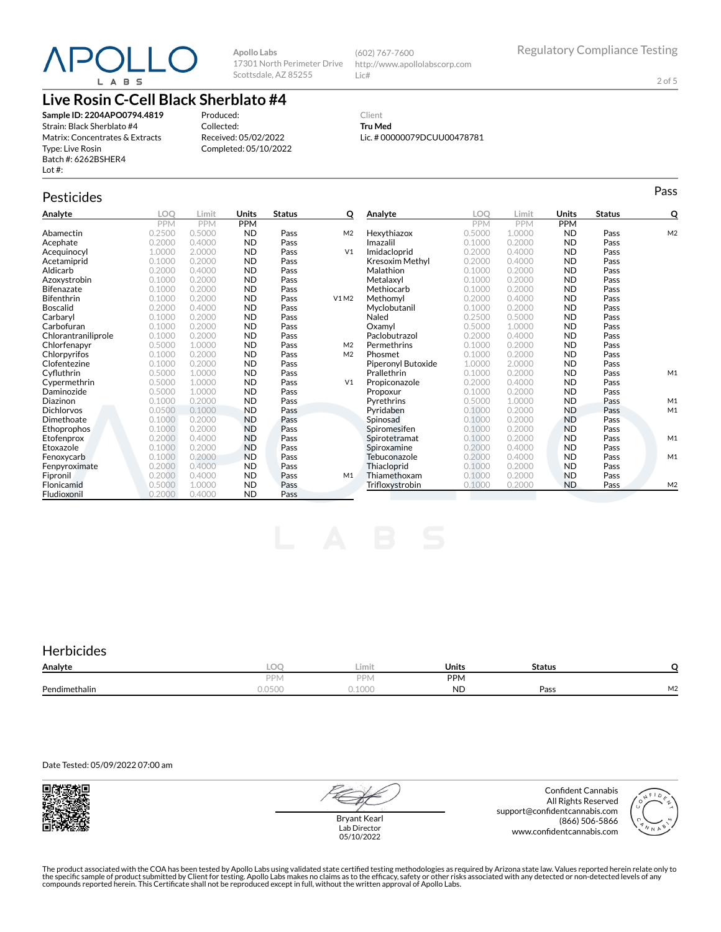# POLL L A B S

**Apollo Labs** 17301 North Perimeter Drive Scottsdale, AZ 85255

(602) 767-7600 http://www.apollolabscorp.com Lic#

2 of 5

# **Live Rosin C-Cell Black Sherblato #4**

**Sample ID: 2204APO0794.4819** Strain: Black Sherblato #4 Matrix: Concentrates & Extracts Type: Live Rosin Batch #: 6262BSHER4 Lot #:

Produced: Collected: Received: 05/02/2022 Completed: 05/10/2022

#### Client **Tru Med** Lic. # 00000079DCUU00478781

Pesticides **Passage of the Contract of Contract Contract of Contract Contract Contract Contract Contract Contract Contract Contract Contract Contract Contract Contract Contract Contract Contract Contract Contract Contract** 

| Analyte             | LOO        | Limit      | Units      | <b>Status</b> | Q              | Analyte            | LOO    | Limit      | Units      | <b>Status</b> | Q              |
|---------------------|------------|------------|------------|---------------|----------------|--------------------|--------|------------|------------|---------------|----------------|
|                     | <b>PPM</b> | <b>PPM</b> | <b>PPM</b> |               |                |                    | PPM    | <b>PPM</b> | <b>PPM</b> |               |                |
| Abamectin           | 0.2500     | 0.5000     | <b>ND</b>  | Pass          | M <sub>2</sub> | Hexythiazox        | 0.5000 | 1.0000     | <b>ND</b>  | Pass          | M <sub>2</sub> |
| Acephate            | 0.2000     | 0.4000     | <b>ND</b>  | Pass          |                | Imazalil           | 0.1000 | 0.2000     | <b>ND</b>  | Pass          |                |
| Acequinocyl         | 1.0000     | 2.0000     | <b>ND</b>  | Pass          | V <sub>1</sub> | Imidacloprid       | 0.2000 | 0.4000     | <b>ND</b>  | Pass          |                |
| Acetamiprid         | 0.1000     | 0.2000     | <b>ND</b>  | Pass          |                | Kresoxim Methyl    | 0.2000 | 0.4000     | <b>ND</b>  | Pass          |                |
| Aldicarb            | 0.2000     | 0.4000     | <b>ND</b>  | Pass          |                | Malathion          | 0.1000 | 0.2000     | <b>ND</b>  | Pass          |                |
| Azoxystrobin        | 0.1000     | 0.2000     | <b>ND</b>  | Pass          |                | Metalaxyl          | 0.1000 | 0.2000     | <b>ND</b>  | Pass          |                |
| Bifenazate          | 0.1000     | 0.2000     | <b>ND</b>  | Pass          |                | Methiocarb         | 0.1000 | 0.2000     | <b>ND</b>  | Pass          |                |
| <b>Bifenthrin</b>   | 0.1000     | 0.2000     | <b>ND</b>  | Pass          | V1M2           | Methomyl           | 0.2000 | 0.4000     | <b>ND</b>  | Pass          |                |
| <b>Boscalid</b>     | 0.2000     | 0.4000     | <b>ND</b>  | Pass          |                | Myclobutanil       | 0.1000 | 0.2000     | <b>ND</b>  | Pass          |                |
| Carbaryl            | 0.1000     | 0.2000     | <b>ND</b>  | Pass          |                | Naled              | 0.2500 | 0.5000     | <b>ND</b>  | Pass          |                |
| Carbofuran          | 0.1000     | 0.2000     | <b>ND</b>  | Pass          |                | Oxamvl             | 0.5000 | 1.0000     | <b>ND</b>  | Pass          |                |
| Chlorantraniliprole | 0.1000     | 0.2000     | <b>ND</b>  | Pass          |                | Paclobutrazol      | 0.2000 | 0.4000     | <b>ND</b>  | Pass          |                |
| Chlorfenapyr        | 0.5000     | 1.0000     | <b>ND</b>  | Pass          | M <sub>2</sub> | Permethrins        | 0.1000 | 0.2000     | <b>ND</b>  | Pass          |                |
| Chlorpyrifos        | 0.1000     | 0.2000     | <b>ND</b>  | Pass          | M <sub>2</sub> | Phosmet            | 0.1000 | 0.2000     | <b>ND</b>  | Pass          |                |
| Clofentezine        | 0.1000     | 0.2000     | <b>ND</b>  | Pass          |                | Piperonyl Butoxide | 1.0000 | 2.0000     | <b>ND</b>  | Pass          |                |
| Cyfluthrin          | 0.5000     | 1.0000     | <b>ND</b>  | Pass          |                | Prallethrin        | 0.1000 | 0.2000     | <b>ND</b>  | Pass          | M1             |
| Cypermethrin        | 0.5000     | 1.0000     | <b>ND</b>  | Pass          | V <sub>1</sub> | Propiconazole      | 0.2000 | 0.4000     | <b>ND</b>  | Pass          |                |
| Daminozide          | 0.5000     | 1.0000     | <b>ND</b>  | Pass          |                | Propoxur           | 0.1000 | 0.2000     | <b>ND</b>  | Pass          |                |
| Diazinon            | 0.1000     | 0.2000     | <b>ND</b>  | Pass          |                | Pyrethrins         | 0.5000 | 1.0000     | <b>ND</b>  | Pass          | M1             |
| <b>Dichlorvos</b>   | 0.0500     | 0.1000     | <b>ND</b>  | Pass          |                | Pyridaben          | 0.1000 | 0.2000     | <b>ND</b>  | Pass          | M1             |
| Dimethoate          | 0.1000     | 0.2000     | <b>ND</b>  | Pass          |                | Spinosad           | 0.1000 | 0.2000     | <b>ND</b>  | Pass          |                |
| Ethoprophos         | 0.1000     | 0.2000     | <b>ND</b>  | Pass          |                | Spiromesifen       | 0.1000 | 0.2000     | <b>ND</b>  | Pass          |                |
| Etofenprox          | 0.2000     | 0.4000     | <b>ND</b>  | Pass          |                | Spirotetramat      | 0.1000 | 0.2000     | <b>ND</b>  | Pass          | M1             |
| Etoxazole           | 0.1000     | 0.2000     | <b>ND</b>  | Pass          |                | Spiroxamine        | 0.2000 | 0.4000     | <b>ND</b>  | Pass          |                |
| Fenoxycarb          | 0.1000     | 0.2000     | <b>ND</b>  | Pass          |                | Tebuconazole       | 0.2000 | 0.4000     | <b>ND</b>  | Pass          | M1             |
| Fenpyroximate       | 0.2000     | 0.4000     | <b>ND</b>  | Pass          |                | Thiacloprid        | 0.1000 | 0.2000     | <b>ND</b>  | Pass          |                |
| Fipronil            | 0.2000     | 0.4000     | <b>ND</b>  | Pass          | M1             | Thiamethoxam       | 0.1000 | 0.2000     | <b>ND</b>  | Pass          |                |
| Flonicamid          | 0.5000     | 1.0000     | <b>ND</b>  | Pass          |                | Trifloxystrobin    | 0.1000 | 0.2000     | <b>ND</b>  | Pass          | M <sub>2</sub> |
| Fludioxonil         | 0.2000     | 0.4000     | <b>ND</b>  | Pass          |                |                    |        |            |            |               |                |

# **Herbicides**

| Analyte       | $\sim$<br>LU'      | Limit           | Units      | <b>Status</b> |                                |
|---------------|--------------------|-----------------|------------|---------------|--------------------------------|
|               | DDN.               | DPN.            | <b>PPM</b> |               |                                |
| Pendimethalin | $\wedge$<br>0.0500 | 1000<br>u. luuu | <b>ND</b>  | Pass          | $\overline{\phantom{a}}$<br>୴∠ |

Date Tested: 05/09/2022 07:00 am



Bryant Kearl Lab Director 05/10/2022

Confident Cannabis All Rights Reserved support@confidentcannabis.com (866) 506-5866 www.confidentcannabis.com

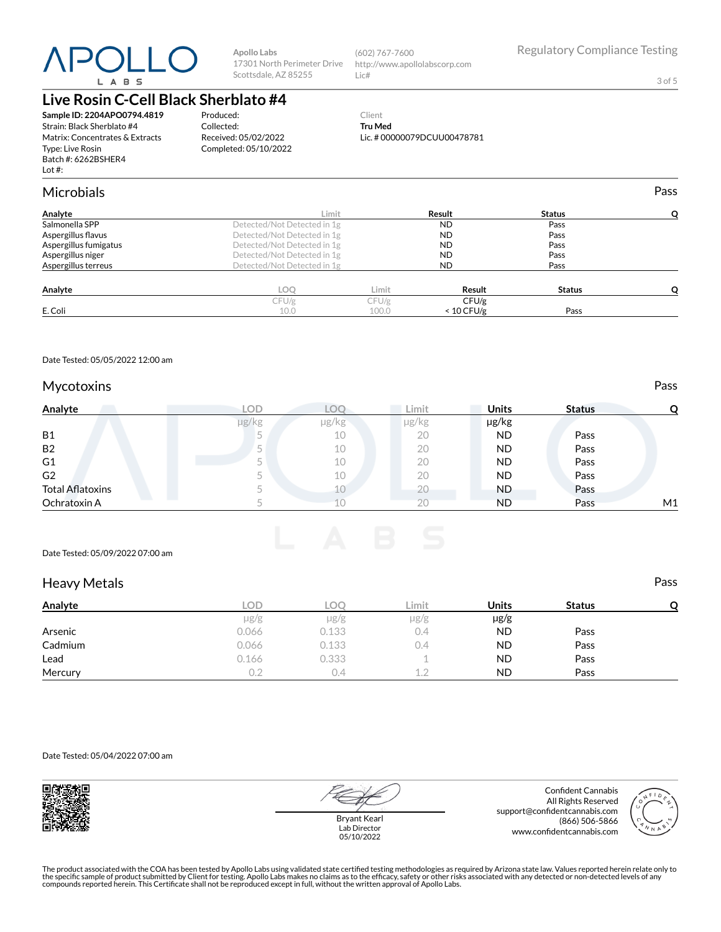# $P()$ L A B S

**Apollo Labs** 17301 North Perimeter Drive Scottsdale, AZ 85255

(602) 767-7600 http://www.apollolabscorp.com Lic#

3 of 5

# **Live Rosin C-Cell Black Sherblato #4**

**Sample ID: 2204APO0794.4819** Strain: Black Sherblato #4 Matrix: Concentrates & Extracts Type: Live Rosin Batch #: 6262BSHER4 Lot #:

Produced: Collected: Received: 05/02/2022 Completed: 05/10/2022

#### Client **Tru Med** Lic. # 00000079DCUU00478781

| <b>Microbials</b>     |                             |       |              |               | Pass |
|-----------------------|-----------------------------|-------|--------------|---------------|------|
| Analyte               | Limit                       |       | Result       | <b>Status</b> |      |
| Salmonella SPP        | Detected/Not Detected in 1g |       | <b>ND</b>    | Pass          |      |
| Aspergillus flavus    | Detected/Not Detected in 1g |       | <b>ND</b>    | Pass          |      |
| Aspergillus fumigatus | Detected/Not Detected in 1g |       | <b>ND</b>    | Pass          |      |
| Aspergillus niger     | Detected/Not Detected in 1g |       | <b>ND</b>    | Pass          |      |
| Aspergillus terreus   | Detected/Not Detected in 1g |       | <b>ND</b>    | Pass          |      |
| Analyte               | LOO                         | Limit | Result       | <b>Status</b> |      |
|                       | CFU/g                       | CFU/g | CFU/g        |               |      |
| E. Coli               | 10.0                        | 100.0 | $< 10$ CFU/g | Pass          |      |
|                       |                             |       |              |               |      |

Date Tested: 05/05/2022 12:00 am

#### Mycotoxins **Pass**

| Analyte                 | LOD   |       | ∟imit. | <b>Units</b> | <b>Status</b> |    |
|-------------------------|-------|-------|--------|--------------|---------------|----|
|                         | µg/kg | µg/kg | µg/kg  | µg/kg        |               |    |
| <b>B1</b>               |       | 10    | 20     | ND           | Pass          |    |
| <b>B2</b>               |       | 10    | 20     | <b>ND</b>    | Pass          |    |
| G <sub>1</sub>          |       | 10    | 20     | <b>ND</b>    | Pass          |    |
| G <sub>2</sub>          |       | 10    | 20     | <b>ND</b>    | Pass          |    |
| <b>Total Aflatoxins</b> |       | 10    | 20     | <b>ND</b>    | Pass          |    |
| Ochratoxin A            |       |       | 20     | <b>ND</b>    | Pass          | M1 |

Date Tested: 05/09/2022 07:00 am

#### Heavy Metals **Pass**

| Analyte | LOD       | LOC       | Limit     | <b>Units</b> | <b>Status</b> | O |
|---------|-----------|-----------|-----------|--------------|---------------|---|
|         | $\mu$ g/g | $\mu$ g/g | $\mu$ g/g | $\mu$ g/g    |               |   |
| Arsenic | 0.066     | 0.133     | 0.4       | <b>ND</b>    | Pass          |   |
| Cadmium | 0.066     | 0.133     | 0.4       | <b>ND</b>    | Pass          |   |
| Lead    | 0.166     | 0.333     |           | <b>ND</b>    | Pass          |   |
| Mercury | 0.2       | U.4       | 1 2       | <b>ND</b>    | Pass          |   |

Date Tested: 05/04/2022 07:00 am



Bryant Kearl Lab Director 05/10/2022

Confident Cannabis All Rights Reserved support@confidentcannabis.com (866) 506-5866 www.confidentcannabis.com

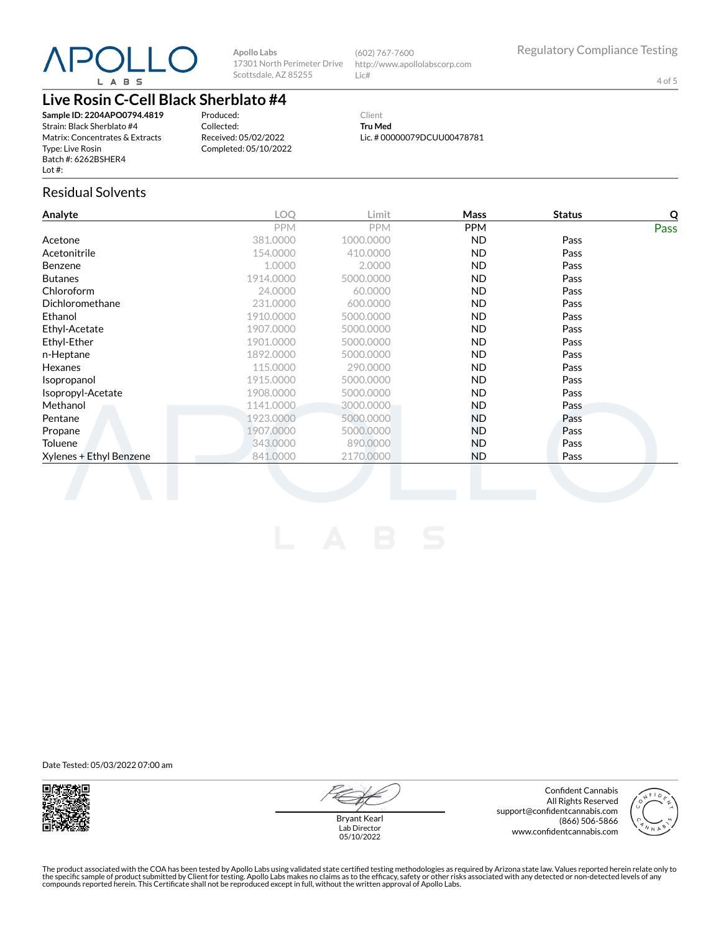

**Apollo Labs** 17301 North Perimeter Drive Scottsdale, AZ 85255

(602) 767-7600 http://www.apollolabscorp.com Lic#

4 of 5

# **Live Rosin C-Cell Black Sherblato #4**

**Sample ID: 2204APO0794.4819** Strain: Black Sherblato #4 Matrix: Concentrates & Extracts Type: Live Rosin Batch #: 6262BSHER4 Lot #:

Produced: Collected: Received: 05/02/2022 Completed: 05/10/2022

Client **Tru Med** Lic. # 00000079DCUU00478781

#### Residual Solvents

| Analyte                 | <b>LOO</b> | Limit      | Mass       | <b>Status</b> | Q    |
|-------------------------|------------|------------|------------|---------------|------|
|                         | <b>PPM</b> | <b>PPM</b> | <b>PPM</b> |               | Pass |
| Acetone                 | 381.0000   | 1000.0000  | ND.        | Pass          |      |
| Acetonitrile            | 154.0000   | 410.0000   | ND.        | Pass          |      |
| <b>Benzene</b>          | 1.0000     | 2.0000     | ND.        | Pass          |      |
| <b>Butanes</b>          | 1914.0000  | 5000.0000  | ND.        | Pass          |      |
| Chloroform              | 24.0000    | 60.0000    | ND.        | Pass          |      |
| Dichloromethane         | 231.0000   | 600.0000   | <b>ND</b>  | Pass          |      |
| Ethanol                 | 1910.0000  | 5000.0000  | ND.        | Pass          |      |
| Ethyl-Acetate           | 1907.0000  | 5000.0000  | <b>ND</b>  | Pass          |      |
| Ethyl-Ether             | 1901.0000  | 5000.0000  | ND.        | Pass          |      |
| n-Heptane               | 1892.0000  | 5000.0000  | ND.        | Pass          |      |
| Hexanes                 | 115.0000   | 290,0000   | ND.        | Pass          |      |
| Isopropanol             | 1915.0000  | 5000.0000  | ND.        | Pass          |      |
| Isopropyl-Acetate       | 1908.0000  | 5000.0000  | ND.        | Pass          |      |
| Methanol                | 1141.0000  | 3000.0000  | ND.        | Pass          |      |
| Pentane                 | 1923.0000  | 5000.0000  | ND.        | Pass          |      |
| Propane                 | 1907.0000  | 5000.0000  | ND.        | Pass          |      |
| Toluene                 | 343,0000   | 890,0000   | ND.        | Pass          |      |
| Xylenes + Ethyl Benzene | 841.0000   | 2170.0000  | <b>ND</b>  | Pass          |      |
|                         |            |            |            |               |      |

Date Tested: 05/03/2022 07:00 am



Confident Cannabis All Rights Reserved support@confidentcannabis.com (866) 506-5866 www.confidentcannabis.com



Bryant Kearl Lab Director 05/10/2022